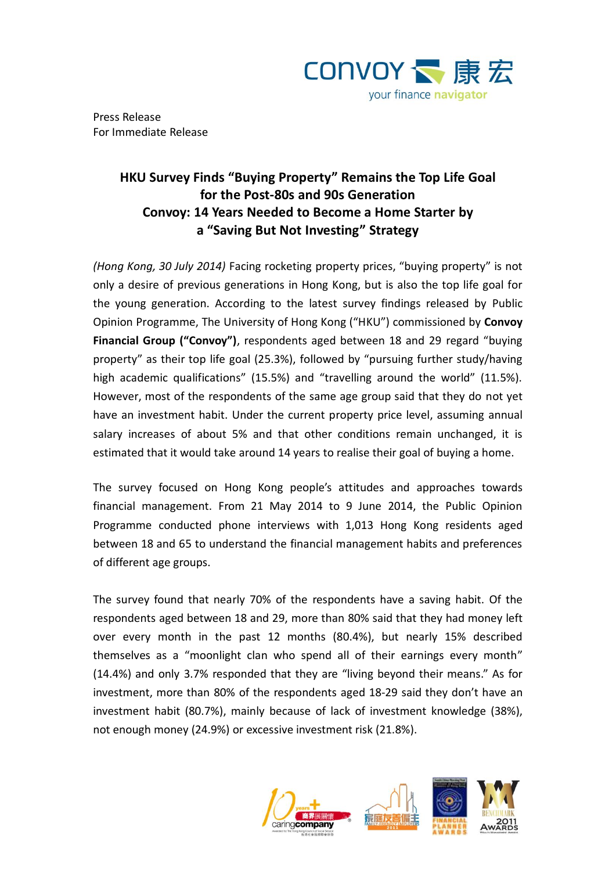

Press Release For Immediate Release

# **HKU Survey Finds "Buying Property" Remains the Top Life Goal for the Post-80s and 90s Generation Convoy: 14 Years Needed to Become a Home Starter by a "Saving But Not Investing" Strategy**

*(Hong Kong, 30 July 2014)* Facing rocketing property prices, "buying property" is not only a desire of previous generations in Hong Kong, but is also the top life goal for the young generation. According to the latest survey findings released by Public Opinion Programme, The University of Hong Kong ("HKU") commissioned by **Convoy Financial Group ("Convoy")**, respondents aged between 18 and 29 regard "buying property" as their top life goal (25.3%), followed by "pursuing further study/having high academic qualifications" (15.5%) and "travelling around the world" (11.5%). However, most of the respondents of the same age group said that they do not yet have an investment habit. Under the current property price level, assuming annual salary increases of about 5% and that other conditions remain unchanged, it is estimated that it would take around 14 years to realise their goal of buying a home.

The survey focused on Hong Kong people's attitudes and approaches towards financial management. From 21 May 2014 to 9 June 2014, the Public Opinion Programme conducted phone interviews with 1,013 Hong Kong residents aged between 18 and 65 to understand the financial management habits and preferences of different age groups.

The survey found that nearly 70% of the respondents have a saving habit. Of the respondents aged between 18 and 29, more than 80% said that they had money left over every month in the past 12 months (80.4%), but nearly 15% described themselves as a "moonlight clan who spend all of their earnings every month" (14.4%) and only 3.7% responded that they are "living beyond their means." As for investment, more than 80% of the respondents aged 18-29 said they don't have an investment habit (80.7%), mainly because of lack of investment knowledge (38%), not enough money (24.9%) or excessive investment risk (21.8%).



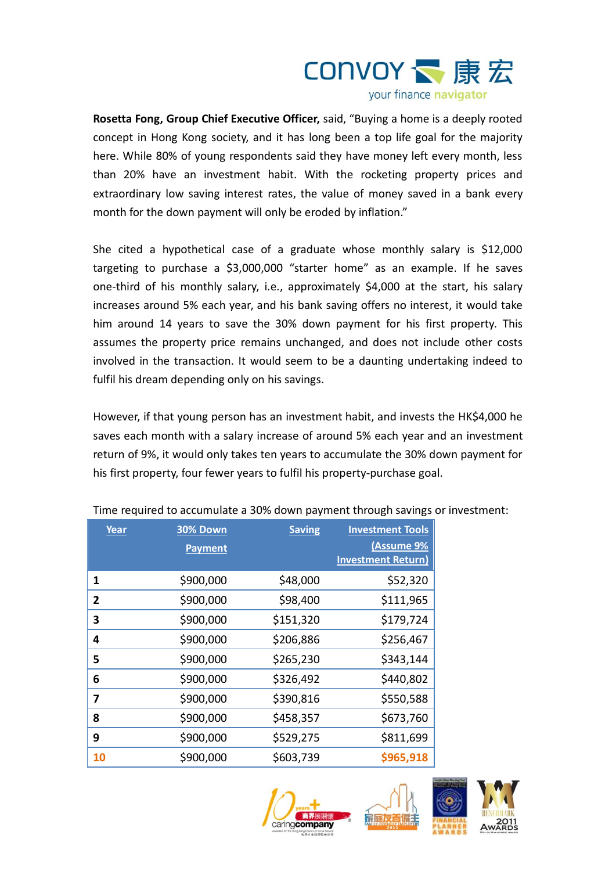

**Rosetta Fong, Group Chief Executive Officer,** said, "Buying a home is a deeply rooted concept in Hong Kong society, and it has long been a top life goal for the majority here. While 80% of young respondents said they have money left every month, less than 20% have an investment habit. With the rocketing property prices and extraordinary low saving interest rates, the value of money saved in a bank every month for the down payment will only be eroded by inflation."

She cited a hypothetical case of a graduate whose monthly salary is \$12,000 targeting to purchase a \$3,000,000 "starter home" as an example. If he saves one-third of his monthly salary, i.e., approximately \$4,000 at the start, his salary increases around 5% each year, and his bank saving offers no interest, it would take him around 14 years to save the 30% down payment for his first property. This assumes the property price remains unchanged, and does not include other costs involved in the transaction. It would seem to be a daunting undertaking indeed to fulfil his dream depending only on his savings.

However, if that young person has an investment habit, and invests the HK\$4,000 he saves each month with a salary increase of around 5% each year and an investment return of 9%, it would only takes ten years to accumulate the 30% down payment for his first property, four fewer years to fulfil his property-purchase goal.

| Year | <b>30% Down</b><br><b>Payment</b> | <b>Saving</b> | <b>Investment Tools</b><br>(Assume 9%<br><b>Investment Return)</b> |
|------|-----------------------------------|---------------|--------------------------------------------------------------------|
| 1    | \$900,000                         | \$48,000      | \$52,320                                                           |
| 2    | \$900,000                         | \$98,400      | \$111,965                                                          |
| 3    | \$900,000                         | \$151,320     | \$179,724                                                          |
| 4    | \$900,000                         | \$206,886     | \$256,467                                                          |
| 5    | \$900,000                         | \$265,230     | \$343,144                                                          |
| 6    | \$900,000                         | \$326,492     | \$440,802                                                          |
| 7    | \$900,000                         | \$390,816     | \$550,588                                                          |
| 8    | \$900,000                         | \$458,357     | \$673,760                                                          |
| 9    | \$900,000                         | \$529,275     | \$811,699                                                          |
| 10   | \$900,000                         | \$603,739     | \$965,918                                                          |

Time required to accumulate a 30% down payment through savings or investment:



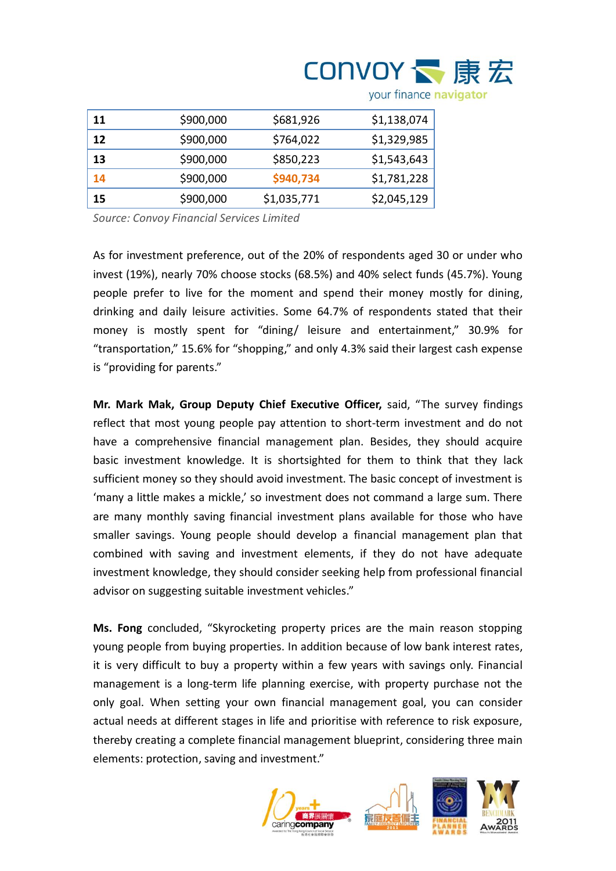| 11 | \$900,000 | \$681,926   | \$1,138,074 |
|----|-----------|-------------|-------------|
| 12 | \$900,000 | \$764,022   | \$1,329,985 |
| 13 | \$900,000 | \$850,223   | \$1,543,643 |
| 14 | \$900,000 | \$940,734   | \$1,781,228 |
| 15 | \$900,000 | \$1,035,771 | \$2,045,129 |

your finance navigator

**CONVOY 、康宏** 

*Source: Convoy Financial Services Limited*

As for investment preference, out of the 20% of respondents aged 30 or under who invest (19%), nearly 70% choose stocks (68.5%) and 40% select funds (45.7%). Young people prefer to live for the moment and spend their money mostly for dining, drinking and daily leisure activities. Some 64.7% of respondents stated that their money is mostly spent for "dining/ leisure and entertainment," 30.9% for "transportation," 15.6% for "shopping," and only 4.3% said their largest cash expense is "providing for parents."

**Mr. Mark Mak, Group Deputy Chief Executive Officer,** said, "The survey findings reflect that most young people pay attention to short-term investment and do not have a comprehensive financial management plan. Besides, they should acquire basic investment knowledge. It is shortsighted for them to think that they lack sufficient money so they should avoid investment. The basic concept of investment is 'many a little makes a mickle,' so investment does not command a large sum. There are many monthly saving financial investment plans available for those who have smaller savings. Young people should develop a financial management plan that combined with saving and investment elements, if they do not have adequate investment knowledge, they should consider seeking help from professional financial advisor on suggesting suitable investment vehicles."

**Ms. Fong** concluded, "Skyrocketing property prices are the main reason stopping young people from buying properties. In addition because of low bank interest rates, it is very difficult to buy a property within a few years with savings only. Financial management is a long-term life planning exercise, with property purchase not the only goal. When setting your own financial management goal, you can consider actual needs at different stages in life and prioritise with reference to risk exposure, thereby creating a complete financial management blueprint, considering three main elements: protection, saving and investment."



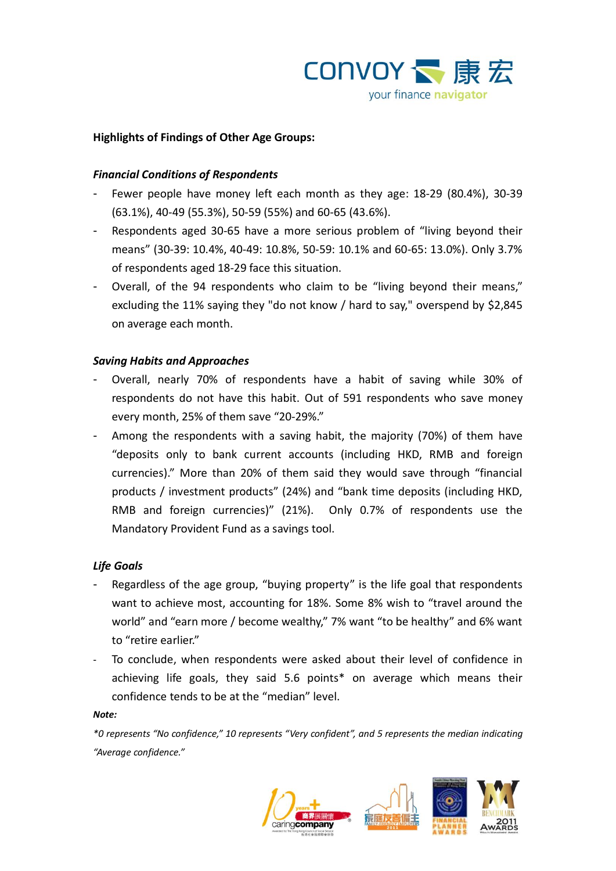

## **Highlights of Findings of Other Age Groups:**

### *Financial Conditions of Respondents*

- Fewer people have money left each month as they age: 18-29 (80.4%), 30-39 (63.1%), 40-49 (55.3%), 50-59 (55%) and 60-65 (43.6%).
- Respondents aged 30-65 have a more serious problem of "living beyond their means" (30-39: 10.4%, 40-49: 10.8%, 50-59: 10.1% and 60-65: 13.0%). Only 3.7% of respondents aged 18-29 face this situation.
- Overall, of the 94 respondents who claim to be "living beyond their means," excluding the 11% saying they "do not know / hard to say," overspend by \$2,845 on average each month.

### *Saving Habits and Approaches*

- Overall, nearly 70% of respondents have a habit of saving while 30% of respondents do not have this habit. Out of 591 respondents who save money every month, 25% of them save "20-29%."
- Among the respondents with a saving habit, the majority (70%) of them have "deposits only to bank current accounts (including HKD, RMB and foreign currencies)." More than 20% of them said they would save through "financial products / investment products" (24%) and "bank time deposits (including HKD, RMB and foreign currencies)" (21%). Only 0.7% of respondents use the Mandatory Provident Fund as a savings tool.

### *Life Goals*

- Regardless of the age group, "buying property" is the life goal that respondents want to achieve most, accounting for 18%. Some 8% wish to "travel around the world" and "earn more / become wealthy," 7% want "to be healthy" and 6% want to "retire earlier."
- To conclude, when respondents were asked about their level of confidence in achieving life goals, they said 5.6 points\* on average which means their confidence tends to be at the "median" level.

#### *Note:*

*\*0 represents "No confidence," 10 represents "Very confident", and 5 represents the median indicating "Average confidence."*

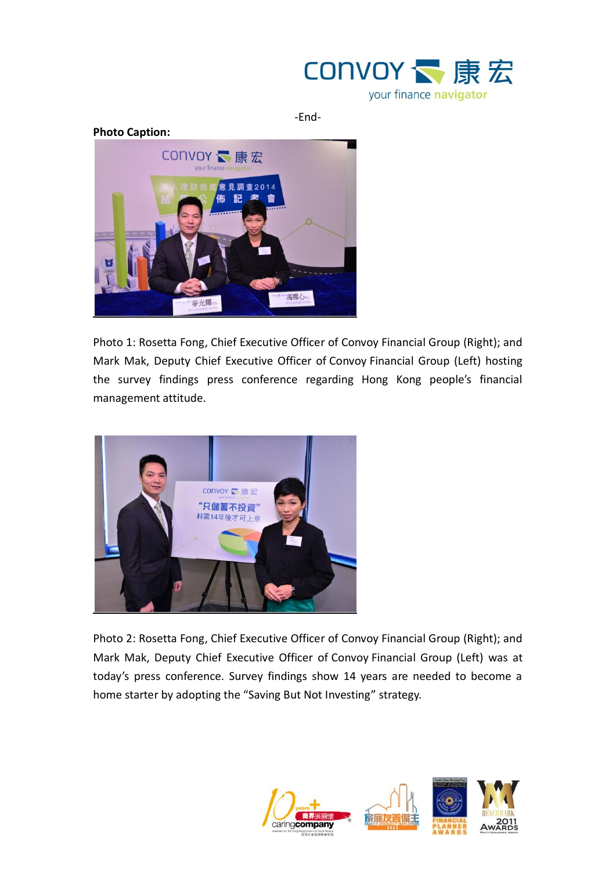

-End-



Photo 1: Rosetta Fong, Chief Executive Officer of Convoy Financial Group (Right); and Mark Mak, Deputy Chief Executive Officer of Convoy Financial Group (Left) hosting the survey findings press conference regarding Hong Kong people's financial management attitude.



Photo 2: Rosetta Fong, Chief Executive Officer of Convoy Financial Group (Right); and Mark Mak, Deputy Chief Executive Officer of Convoy Financial Group (Left) was at today's press conference. Survey findings show 14 years are needed to become a home starter by adopting the "Saving But Not Investing" strategy.